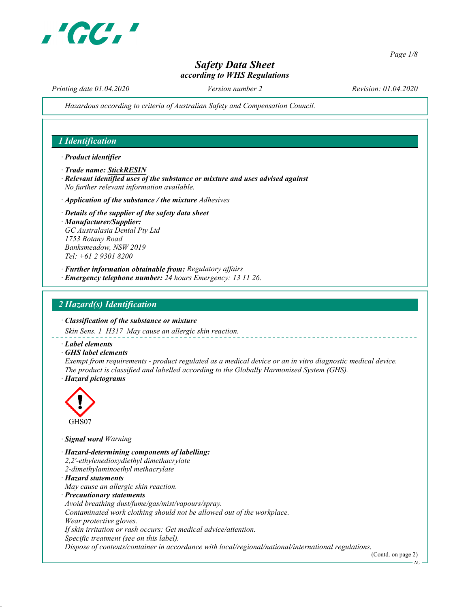

Page 1/8

# Safety Data Sheet according to WHS Regulations

Printing date 01.04.2020 Version number 2 Revision: 01.04.2020

Hazardous according to criteria of Australian Safety and Compensation Council.

## 1 Identification

#### · Product identifier

- · Trade name: StickRESIN
- · Relevant identified uses of the substance or mixture and uses advised against No further relevant information available.
- $\cdot$  Application of the substance / the mixture Adhesives
- · Details of the supplier of the safety data sheet · Manufacturer/Supplier: GC Australasia Dental Pty Ltd 1753 Botany Road Banksmeadow, NSW 2019 Tel: +61 2 9301 8200
- · Further information obtainable from: Regulatory affairs
- · Emergency telephone number: 24 hours Emergency: 13 11 26.

### 2 Hazard(s) Identification

#### · Classification of the substance or mixture

Skin Sens. 1 H317 May cause an allergic skin reaction.

· Label elements

· GHS label elements

Exempt from requirements - product regulated as a medical device or an in vitro diagnostic medical device. The product is classified and labelled according to the Globally Harmonised System (GHS).

· Hazard pictograms



· Signal word Warning

· Hazard-determining components of labelling: 2,2'-ethylenedioxydiethyl dimethacrylate 2-dimethylaminoethyl methacrylate · Hazard statements May cause an allergic skin reaction. · Precautionary statements Avoid breathing dust/fume/gas/mist/vapours/spray. Contaminated work clothing should not be allowed out of the workplace. Wear protective gloves. If skin irritation or rash occurs: Get medical advice/attention. Specific treatment (see on this label). Dispose of contents/container in accordance with local/regional/national/international regulations.

(Contd. on page 2)

AU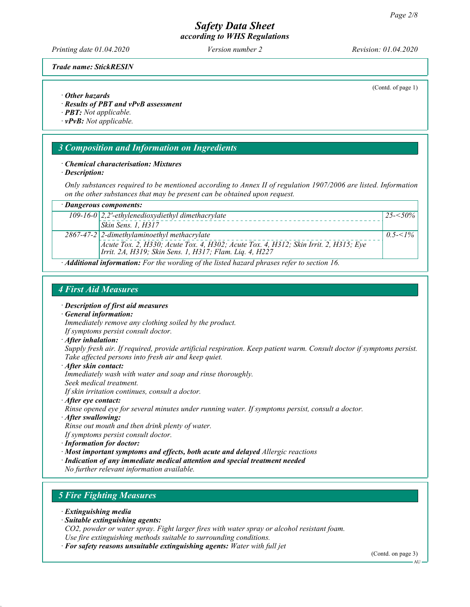Printing date 01.04.2020 Version number 2 Revision: 01.04.2020

(Contd. of page 1)

Trade name: StickRESIN

· Other hazards

· Results of PBT and vPvB assessment

· PBT: Not applicable.

· vPvB: Not applicable.

## 3 Composition and Information on Ingredients

· Chemical characterisation: Mixtures

· Description:

Only substances required to be mentioned according to Annex II of regulation 1907/2006 are listed. Information on the other substances that may be present can be obtained upon request.

| $\cdot$ Dangerous components:                                                                     |                                                                                                                                                 |             |  |  |
|---------------------------------------------------------------------------------------------------|-------------------------------------------------------------------------------------------------------------------------------------------------|-------------|--|--|
|                                                                                                   | 109-16-0 $\sqrt{2}$ , 2'-ethylenedioxydiethyl dimethacrylate                                                                                    | $25 - 50\%$ |  |  |
|                                                                                                   | Skin Sens. 1, H317                                                                                                                              |             |  |  |
|                                                                                                   | $2867-47-2$ 2-dimethylaminoethyl methacrylate                                                                                                   | $0.5 < 1\%$ |  |  |
|                                                                                                   | Acute Tox. 2, H330; Acute Tox. 4, H302; Acute Tox. 4, H312; Skin Irrit. 2, H315; Eye<br>Irrit. 2A, H319; Skin Sens. 1, H317; Flam. Liq. 4, H227 |             |  |  |
| $\cdot$ Additional information: For the wording of the listed hazard phrases refer to section 16. |                                                                                                                                                 |             |  |  |

# 4 First Aid Measures

- · Description of first aid measures
- · General information:

Immediately remove any clothing soiled by the product.

- If symptoms persist consult doctor.
- · After inhalation:

Supply fresh air. If required, provide artificial respiration. Keep patient warm. Consult doctor if symptoms persist. Take affected persons into fresh air and keep quiet.

· After skin contact:

Immediately wash with water and soap and rinse thoroughly.

Seek medical treatment.

If skin irritation continues, consult a doctor.

· After eye contact:

Rinse opened eye for several minutes under running water. If symptoms persist, consult a doctor.

- · After swallowing: Rinse out mouth and then drink plenty of water. If symptoms persist consult doctor.
- · Information for doctor:
- · Most important symptoms and effects, both acute and delayed Allergic reactions
- · Indication of any immediate medical attention and special treatment needed

No further relevant information available.

# 5 Fire Fighting Measures

- · Extinguishing media
- · Suitable extinguishing agents:
- CO2, powder or water spray. Fight larger fires with water spray or alcohol resistant foam. Use fire extinguishing methods suitable to surrounding conditions.
- · For safety reasons unsuitable extinguishing agents: Water with full jet

(Contd. on page 3)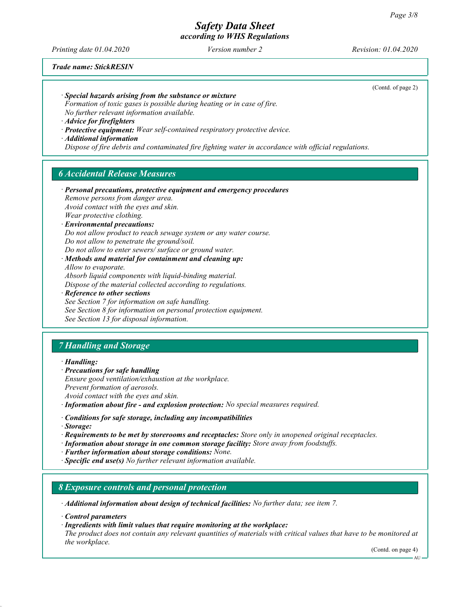Printing date 01.04.2020 Version number 2 Revision: 01.04.2020

(Contd. of page 2)

Trade name: StickRESIN

· Special hazards arising from the substance or mixture

Formation of toxic gases is possible during heating or in case of fire. No further relevant information available.

· Advice for firefighters

· Protective equipment: Wear self-contained respiratory protective device.

· Additional information

Dispose of fire debris and contaminated fire fighting water in accordance with official regulations.

# 6 Accidental Release Measures

· Personal precautions, protective equipment and emergency procedures Remove persons from danger area. Avoid contact with the eyes and skin. Wear protective clothing. · Environmental precautions: Do not allow product to reach sewage system or any water course. Do not allow to penetrate the ground/soil. Do not allow to enter sewers/ surface or ground water. · Methods and material for containment and cleaning up: Allow to evaporate.

Absorb liquid components with liquid-binding material. Dispose of the material collected according to regulations.

· Reference to other sections

See Section 7 for information on safe handling. See Section 8 for information on personal protection equipment. See Section 13 for disposal information.

# 7 Handling and Storage

· Handling:

- · Precautions for safe handling Ensure good ventilation/exhaustion at the workplace. Prevent formation of aerosols. Avoid contact with the eyes and skin.
- · Information about fire and explosion protection: No special measures required.
- · Conditions for safe storage, including any incompatibilities
- · Storage:
- · Requirements to be met by storerooms and receptacles: Store only in unopened original receptacles.
- · Information about storage in one common storage facility: Store away from foodstuffs.
- · Further information about storage conditions: None.
- $\cdot$  **Specific end use(s)** No further relevant information available.

#### 8 Exposure controls and personal protection

· Additional information about design of technical facilities: No further data; see item 7.

· Control parameters

· Ingredients with limit values that require monitoring at the workplace:

The product does not contain any relevant quantities of materials with critical values that have to be monitored at the workplace.

(Contd. on page 4)

 $\cdot$  AU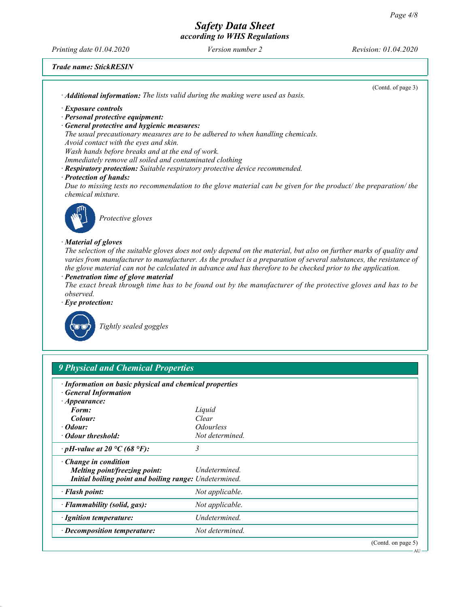Printing date 01.04.2020 Version number 2 Revision: 01.04.2020

Trade name: StickRESIN

| (Contd. of page 3)<br>· Additional information: The lists valid during the making were used as basis.                                                                                                                                                                                                                                                      |
|------------------------------------------------------------------------------------------------------------------------------------------------------------------------------------------------------------------------------------------------------------------------------------------------------------------------------------------------------------|
| · Exposure controls                                                                                                                                                                                                                                                                                                                                        |
| · Personal protective equipment:                                                                                                                                                                                                                                                                                                                           |
| · General protective and hygienic measures:                                                                                                                                                                                                                                                                                                                |
| The usual precautionary measures are to be adhered to when handling chemicals.                                                                                                                                                                                                                                                                             |
| Avoid contact with the eyes and skin.                                                                                                                                                                                                                                                                                                                      |
| Wash hands before breaks and at the end of work.                                                                                                                                                                                                                                                                                                           |
| Immediately remove all soiled and contaminated clothing                                                                                                                                                                                                                                                                                                    |
| · Respiratory protection: Suitable respiratory protective device recommended.                                                                                                                                                                                                                                                                              |
| · Protection of hands:                                                                                                                                                                                                                                                                                                                                     |
| Due to missing tests no recommendation to the glove material can be given for the product/ the preparation/ the<br>chemical mixture.                                                                                                                                                                                                                       |
| Protective gloves                                                                                                                                                                                                                                                                                                                                          |
| · Material of gloves                                                                                                                                                                                                                                                                                                                                       |
| The selection of the suitable gloves does not only depend on the material, but also on further marks of quality and<br>varies from manufacturer to manufacturer. As the product is a preparation of several substances, the resistance of<br>the glove material can not be calculated in advance and has therefore to be checked prior to the application. |
| · Penetration time of glove material                                                                                                                                                                                                                                                                                                                       |
| The exact break through time has to be found out by the manufacturer of the protective gloves and has to be<br>observed.                                                                                                                                                                                                                                   |
|                                                                                                                                                                                                                                                                                                                                                            |
| $\cdot$ Eye protection:                                                                                                                                                                                                                                                                                                                                    |
| Tightly sealed goggles                                                                                                                                                                                                                                                                                                                                     |

| · Information on basic physical and chemical properties<br><b>General Information</b> |                         |  |
|---------------------------------------------------------------------------------------|-------------------------|--|
| $\cdot$ Appearance:                                                                   |                         |  |
| Form:                                                                                 | Liquid                  |  |
| Colour:                                                                               | Clear                   |  |
| $\cdot$ Odour:                                                                        | <i><b>Odourless</b></i> |  |
| • Odour threshold:                                                                    | Not determined.         |  |
| $\cdot$ pH-value at 20 °C (68 °F):                                                    | 3                       |  |
| $\cdot$ Change in condition                                                           |                         |  |
| Melting point/freezing point:                                                         | Undetermined.           |  |
| Initial boiling point and boiling range: Undetermined.                                |                         |  |
| · Flash point:                                                                        | Not applicable.         |  |
| · Flammability (solid, gas):                                                          | Not applicable.         |  |
| · Ignition temperature:                                                               | Undetermined.           |  |
| · Decomposition temperature:                                                          | Not determined.         |  |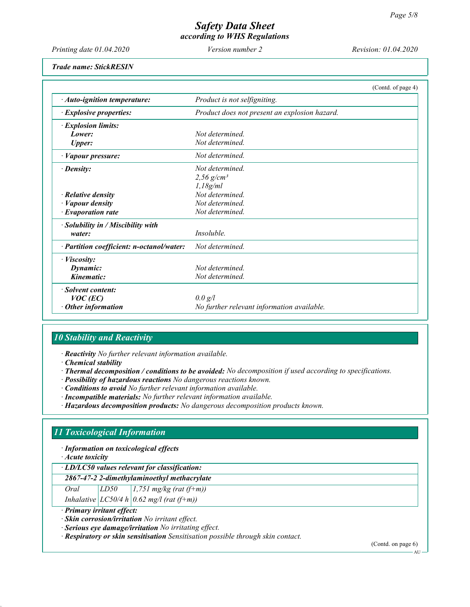Printing date 01.04.2020 Version number 2 Revision: 01.04.2020

Trade name: StickRESIN

|                                           | (Contd. of page 4)                            |
|-------------------------------------------|-----------------------------------------------|
| $\cdot$ Auto-ignition temperature:        | Product is not selfigniting.                  |
| $\cdot$ Explosive properties:             | Product does not present an explosion hazard. |
| $\cdot$ Explosion limits:                 |                                               |
| Lower:                                    | Not determined                                |
| <b>Upper:</b>                             | Not determined.                               |
| $\cdot$ <i>Vapour pressure:</i>           | Not determined.                               |
| $\cdot$ Density:                          | Not determined                                |
|                                           | 2,56 $g/cm^{3}$                               |
|                                           | 1,18g/ml                                      |
| $\cdot$ Relative density                  | Not determined.                               |
| $\cdot$ <i>Vapour density</i>             | Not determined.                               |
| $\cdot$ Evaporation rate                  | Not determined.                               |
| $\cdot$ Solubility in / Miscibility with  |                                               |
| water:                                    | Insoluble.                                    |
| · Partition coefficient: n-octanol/water: | Not determined.                               |
| $\cdot$ <i>Viscosity</i> :                |                                               |
| Dynamic:                                  | Not determined.                               |
| Kinematic:                                | Not determined.                               |
| · Solvent content:                        |                                               |
| $VOC$ (EC)                                | 0.0 g/l                                       |
| $\cdot$ Other information                 | No further relevant information available.    |

# 10 Stability and Reactivity

· Reactivity No further relevant information available.

· Chemical stability

- · Thermal decomposition / conditions to be avoided: No decomposition if used according to specifications.
- · Possibility of hazardous reactions No dangerous reactions known.
- · Conditions to avoid No further relevant information available.
- · Incompatible materials: No further relevant information available.
- · Hazardous decomposition products: No dangerous decomposition products known.

# 11 Toxicological Information

· Information on toxicological effects

· Acute toxicity

#### · LD/LC50 values relevant for classification:

2867-47-2 2-dimethylaminoethyl methacrylate

Oral  $LD50$  1,751 mg/kg (rat (f+m))

Inhalative  $|LCS0/4 h|0.62 mg/l$  (rat (f+m))

· Primary irritant effect:

· Skin corrosion/irritation No irritant effect.

· Serious eye damage/irritation No irritating effect.

· Respiratory or skin sensitisation Sensitisation possible through skin contact.

(Contd. on page 6)

AU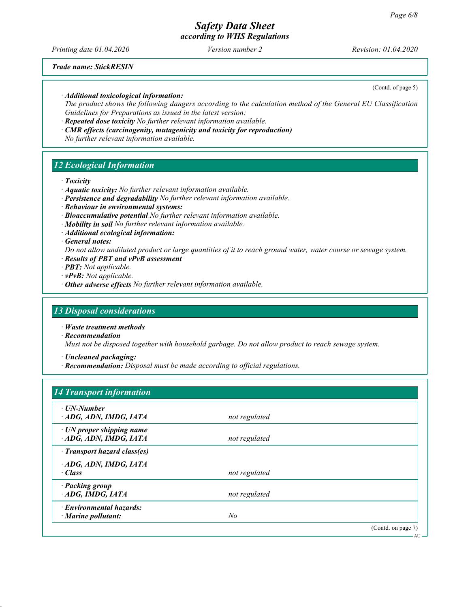# Safety Data Sheet

according to WHS Regulations

Printing date 01.04.2020 Version number 2 Revision: 01.04.2020

Trade name: StickRESIN

(Contd. of page 5)

· Additional toxicological information:

The product shows the following dangers according to the calculation method of the General EU Classification Guidelines for Preparations as issued in the latest version:

- · Repeated dose toxicity No further relevant information available.
- · CMR effects (carcinogenity, mutagenicity and toxicity for reproduction) No further relevant information available.

## 12 Ecological Information

· Toxicity

- · Aquatic toxicity: No further relevant information available.
- · Persistence and degradability No further relevant information available.
- · Behaviour in environmental systems:
- · Bioaccumulative potential No further relevant information available.
- · Mobility in soil No further relevant information available.
- · Additional ecological information:

#### · General notes:

- Do not allow undiluted product or large quantities of it to reach ground water, water course or sewage system.
- · Results of PBT and vPvB assessment
- · PBT: Not applicable.
- · vPvB: Not applicable.
- · Other adverse effects No further relevant information available.

### 13 Disposal considerations

· Waste treatment methods

· Recommendation

Must not be disposed together with household garbage. Do not allow product to reach sewage system.

· Uncleaned packaging:

· Recommendation: Disposal must be made according to official regulations.

| $\cdot$ UN-Number               |               |  |
|---------------------------------|---------------|--|
| ADG, ADN, IMDG, IATA            | not regulated |  |
| $\cdot$ UN proper shipping name |               |  |
| ADG, ADN, IMDG, IATA            | not regulated |  |
| · Transport hazard class(es)    |               |  |
| ADG, ADN, IMDG, IATA            |               |  |
| · Class                         | not regulated |  |
| · Packing group                 |               |  |
| ADG, IMDG, IATA                 | not regulated |  |
| · Environmental hazards:        |               |  |
| $\cdot$ Marine pollutant:       | $N_{O}$       |  |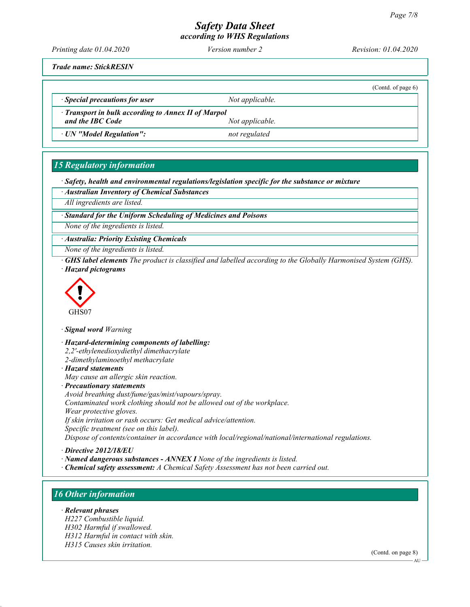# Safety Data Sheet

according to WHS Regulations

Printing date 01.04.2020 Version number 2 Revision: 01.04.2020

Trade name: StickRESIN

(Contd. of page 6)

 $\cdot$  Special precautions for user  $\cdot$  Not applicable.

· Transport in bulk according to Annex II of Marpol and the IBC Code Not applicable.

· UN "Model Regulation": not regulated

# 15 Regulatory information

· Safety, health and environmental regulations/legislation specific for the substance or mixture

· Australian Inventory of Chemical Substances

All ingredients are listed.

· Standard for the Uniform Scheduling of Medicines and Poisons

None of the ingredients is listed.

· Australia: Priority Existing Chemicals

None of the ingredients is listed.

· GHS label elements The product is classified and labelled according to the Globally Harmonised System (GHS). · Hazard pictograms



· Signal word Warning

· Hazard-determining components of labelling: 2,2'-ethylenedioxydiethyl dimethacrylate 2-dimethylaminoethyl methacrylate · Hazard statements May cause an allergic skin reaction. · Precautionary statements

Avoid breathing dust/fume/gas/mist/vapours/spray. Contaminated work clothing should not be allowed out of the workplace. Wear protective gloves. If skin irritation or rash occurs: Get medical advice/attention. Specific treatment (see on this label). Dispose of contents/container in accordance with local/regional/national/international regulations.

· Directive 2012/18/EU

- · Named dangerous substances ANNEX I None of the ingredients is listed.
- · Chemical safety assessment: A Chemical Safety Assessment has not been carried out.

# 16 Other information

· Relevant phrases H227 Combustible liquid. H302 Harmful if swallowed. H312 Harmful in contact with skin. H315 Causes skin irritation.

(Contd. on page 8)

AU